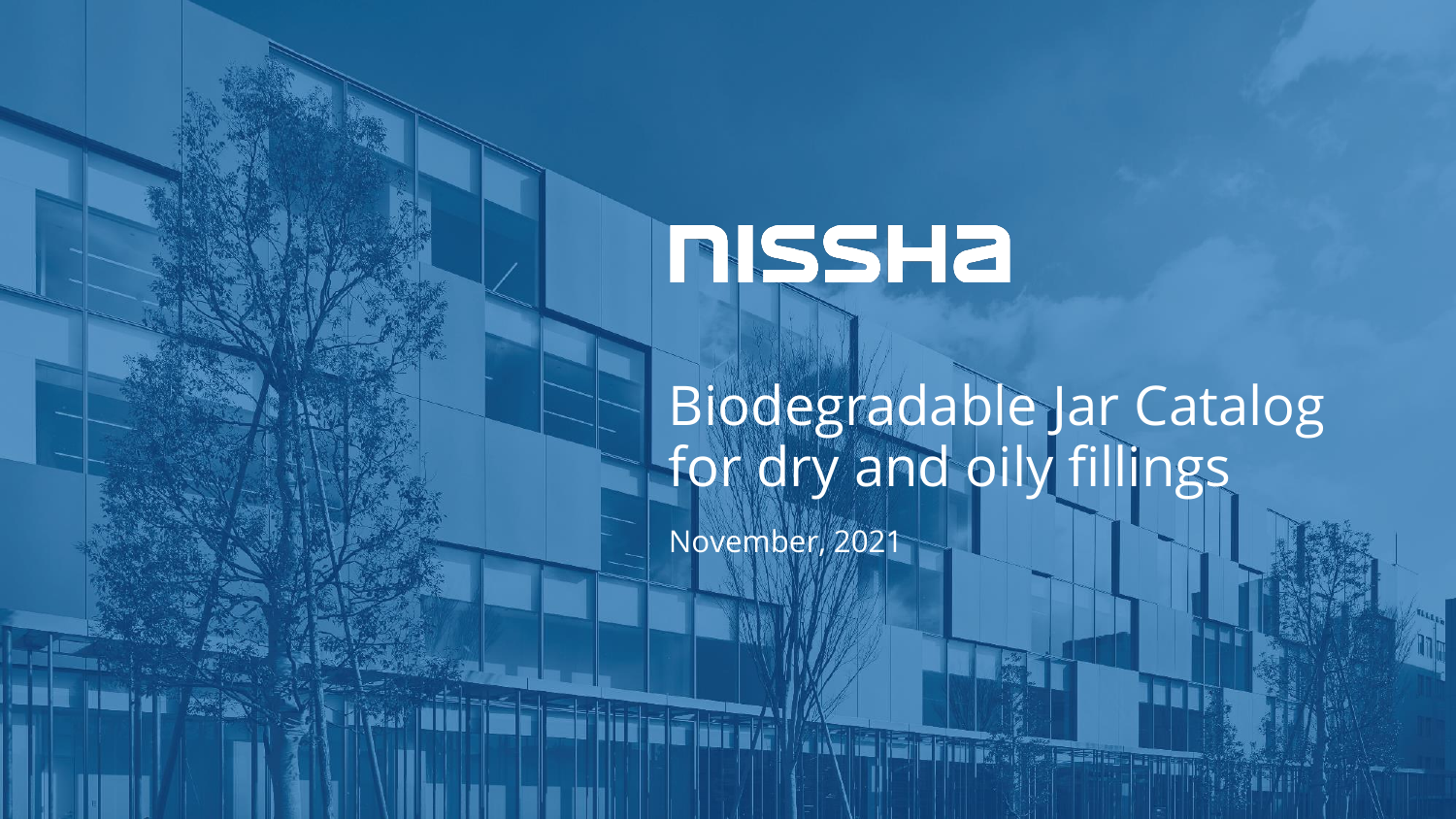# **RISSHA**

# Biodegradable Jar Catalog for dry and oily fillings

**ANTE ETIMORE** 

November, 2021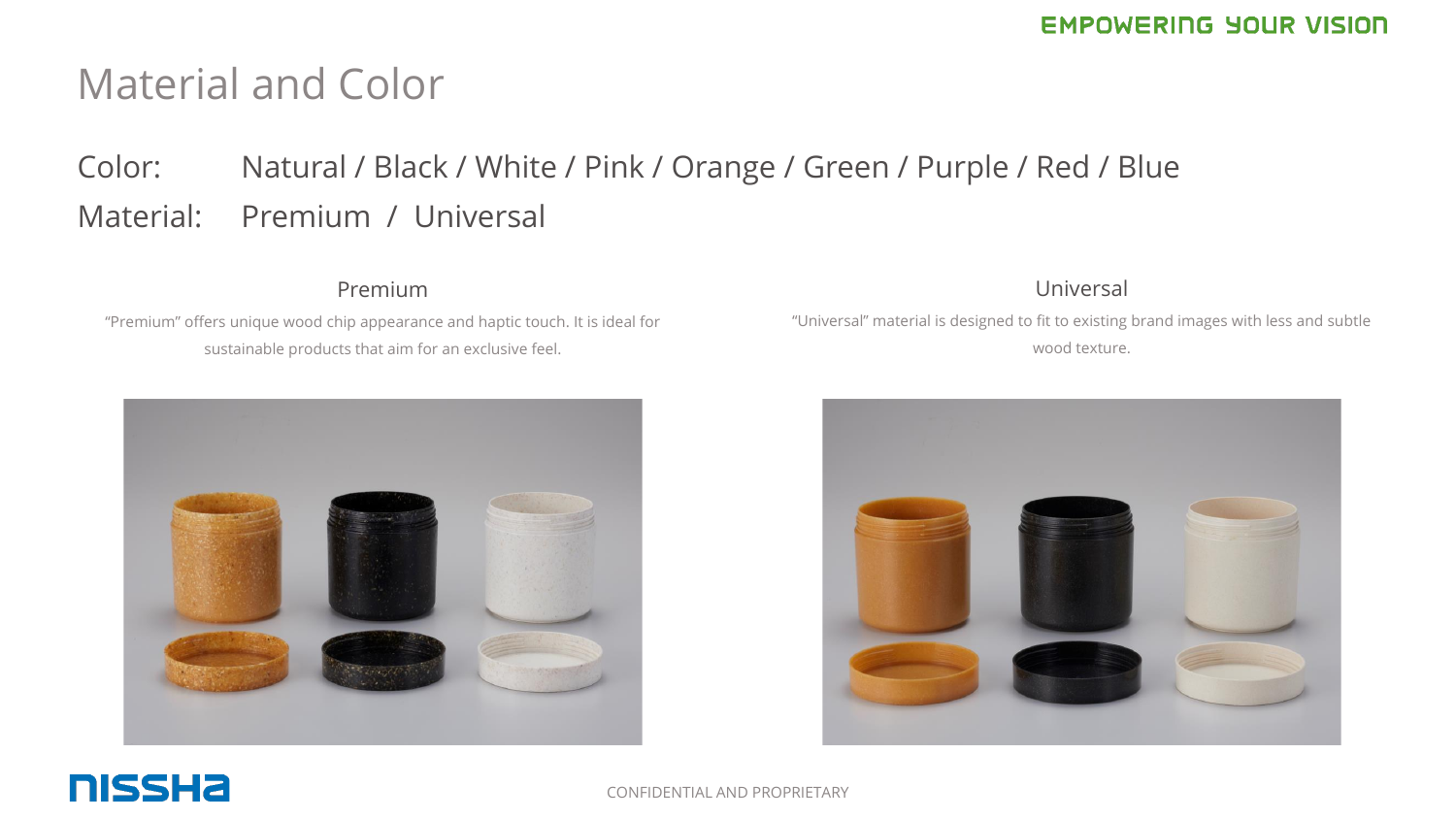## Material and Color

## Color: Natural / Black / White / Pink / Orange / Green / Purple / Red / Blue Material: Premium / Universal

### Premium

"Premium" offers unique wood chip appearance and haptic touch. It is ideal for sustainable products that aim for an exclusive feel.



#### Universal

"Universal" material is designed to fit to existing brand images with less and subtle wood texture.



### **NISSHA**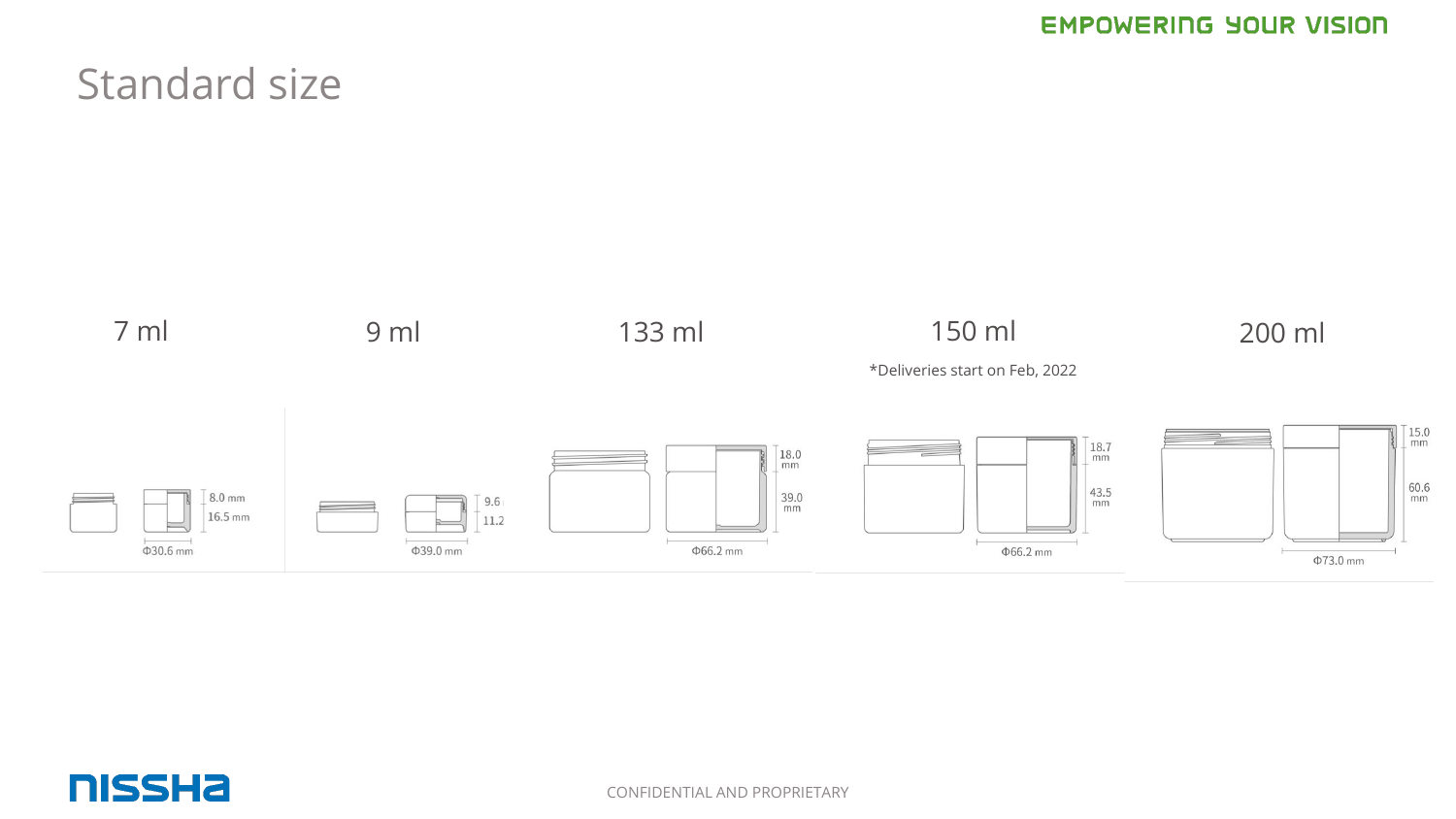## Standard size



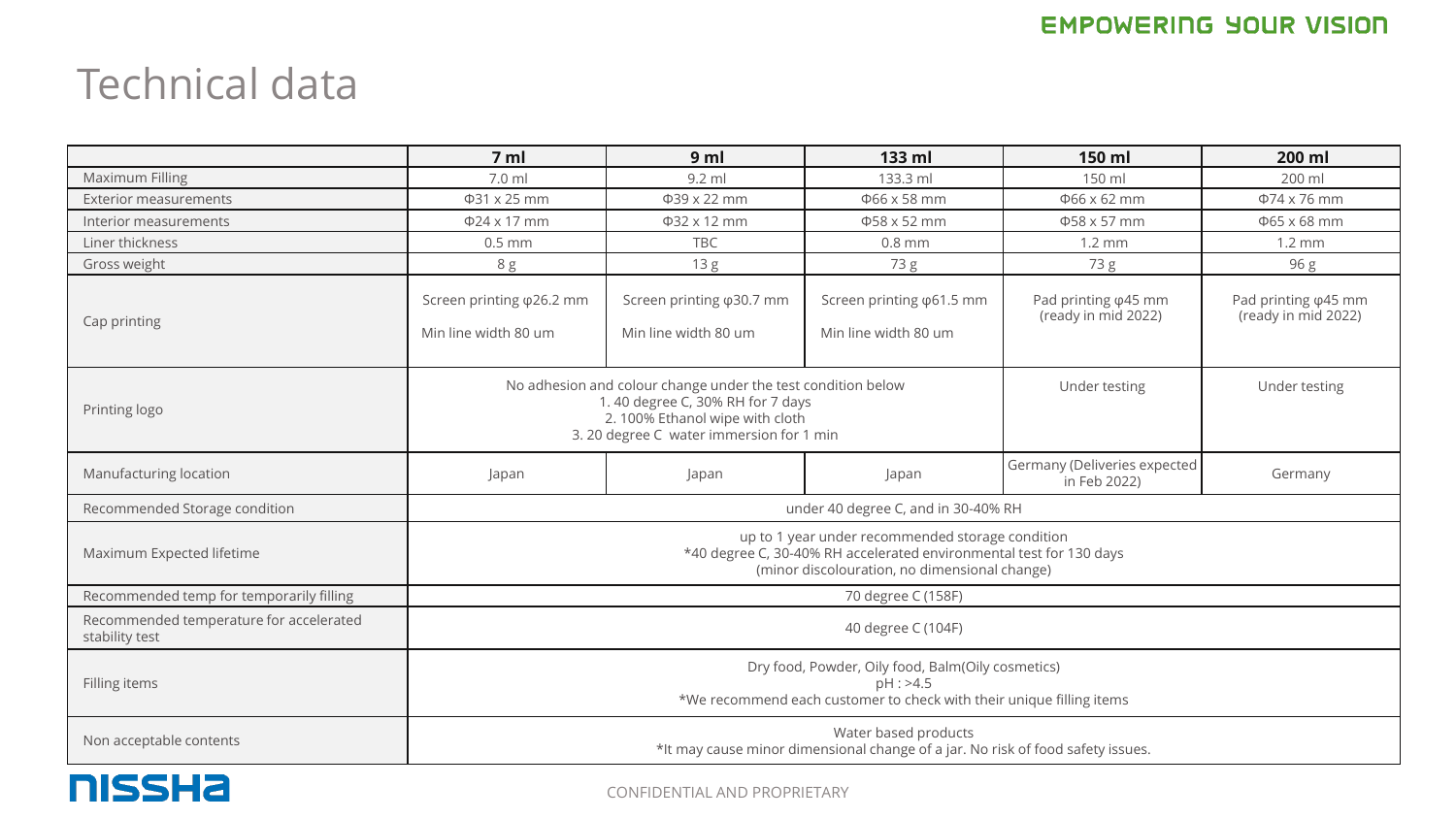## Technical data

|                                                           | 7 <sub>m</sub>                                                                                                                                                                  | 9 <sub>m</sub>                                            | 133 ml                                                    | 150 ml                                              | 200 ml                                              |  |  |
|-----------------------------------------------------------|---------------------------------------------------------------------------------------------------------------------------------------------------------------------------------|-----------------------------------------------------------|-----------------------------------------------------------|-----------------------------------------------------|-----------------------------------------------------|--|--|
| Maximum Filling                                           | 7.0 ml                                                                                                                                                                          | 9.2 ml                                                    | 133.3 ml                                                  | 150 ml                                              | 200 ml                                              |  |  |
| <b>Exterior measurements</b>                              | Φ31 x 25 mm                                                                                                                                                                     | Φ39 x 22 mm                                               | Φ66 x 58 mm                                               | Ф66 x 62 mm                                         | $\Phi$ 74 x 76 mm                                   |  |  |
| Interior measurements                                     | Φ24 x 17 mm                                                                                                                                                                     | Φ32 x 12 mm                                               | Ф58 х 52 mm                                               | Φ58 x 57 mm                                         | Ф65 х 68 mm                                         |  |  |
| Liner thickness                                           | $0.5$ mm                                                                                                                                                                        | <b>TBC</b>                                                | $0.8$ mm                                                  | $1.2 \text{ mm}$                                    | $1.2 \text{ mm}$                                    |  |  |
| Gross weight                                              | 8 g                                                                                                                                                                             | 13 <sub>g</sub>                                           | 73 g                                                      | 73 g                                                | 96 g                                                |  |  |
| Cap printing                                              | Screen printing $\varphi$ 26.2 mm<br>Min line width 80 um                                                                                                                       | Screen printing $\varphi$ 30.7 mm<br>Min line width 80 um | Screen printing $\varphi$ 61.5 mm<br>Min line width 80 um | Pad printing $\varphi$ 45 mm<br>(ready in mid 2022) | Pad printing $\varphi$ 45 mm<br>(ready in mid 2022) |  |  |
| Printing logo                                             | No adhesion and colour change under the test condition below<br>1.40 degree C, 30% RH for 7 days<br>2. 100% Ethanol wipe with cloth<br>3. 20 degree C water immersion for 1 min |                                                           |                                                           | Under testing                                       | Under testing                                       |  |  |
| Manufacturing location                                    | Japan                                                                                                                                                                           | Japan                                                     | Japan                                                     | Germany (Deliveries expected<br>in Feb 2022)        | Germany                                             |  |  |
| Recommended Storage condition                             | under 40 degree C, and in 30-40% RH                                                                                                                                             |                                                           |                                                           |                                                     |                                                     |  |  |
| Maximum Expected lifetime                                 | up to 1 year under recommended storage condition<br>*40 degree C, 30-40% RH accelerated environmental test for 130 days<br>(minor discolouration, no dimensional change)        |                                                           |                                                           |                                                     |                                                     |  |  |
| Recommended temp for temporarily filling                  | 70 degree C (158F)                                                                                                                                                              |                                                           |                                                           |                                                     |                                                     |  |  |
| Recommended temperature for accelerated<br>stability test | 40 degree C (104F)                                                                                                                                                              |                                                           |                                                           |                                                     |                                                     |  |  |
| Filling items                                             | Dry food, Powder, Oily food, Balm(Oily cosmetics)<br>pH : >4.5<br>*We recommend each customer to check with their unique filling items                                          |                                                           |                                                           |                                                     |                                                     |  |  |
| Non acceptable contents                                   | Water based products<br>*It may cause minor dimensional change of a jar. No risk of food safety issues.                                                                         |                                                           |                                                           |                                                     |                                                     |  |  |

**NISSHA**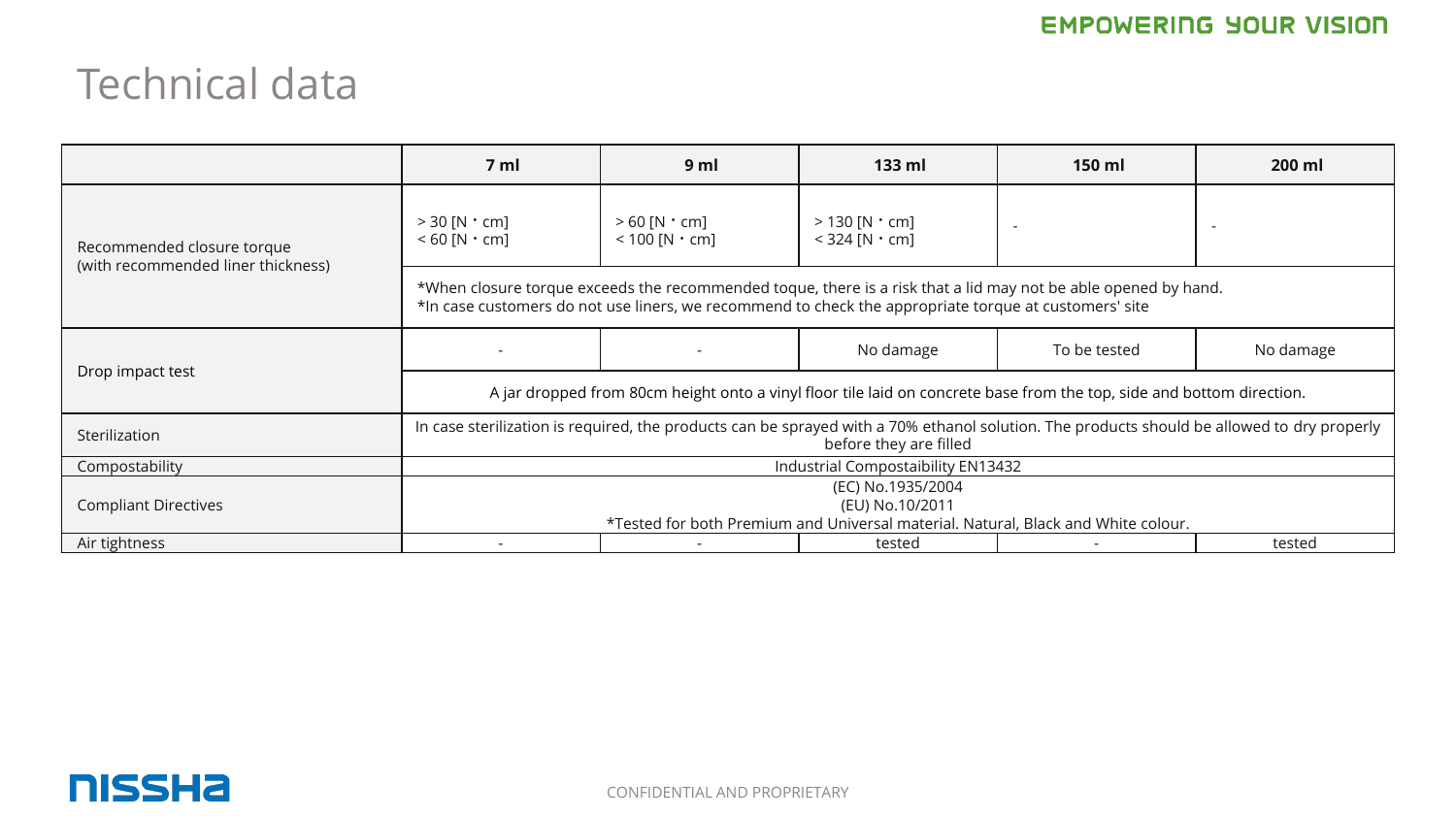## Technical data

|                                                                  | 7 ml                                                                                                                                                                                                                    | 9 <sub>m</sub>                                  | $133$ ml                                         | 150 ml                   | 200 ml                   |  |  |
|------------------------------------------------------------------|-------------------------------------------------------------------------------------------------------------------------------------------------------------------------------------------------------------------------|-------------------------------------------------|--------------------------------------------------|--------------------------|--------------------------|--|--|
| Recommended closure torque<br>(with recommended liner thickness) | $>$ 30 [N $\cdot$ cm]<br>$< 60$ [N $\cdot$ cm]                                                                                                                                                                          | $> 60$ [N $\cdot$ cm]<br>$< 100$ [N $\cdot$ cm] | $>$ 130 [N $\cdot$ cm]<br>$<$ 324 [N $\cdot$ cm] | $\overline{\phantom{a}}$ | $\overline{\phantom{a}}$ |  |  |
|                                                                  | *When closure torque exceeds the recommended toque, there is a risk that a lid may not be able opened by hand.<br>*In case customers do not use liners, we recommend to check the appropriate torque at customers' site |                                                 |                                                  |                          |                          |  |  |
| Drop impact test                                                 |                                                                                                                                                                                                                         |                                                 | No damage                                        | To be tested             | No damage                |  |  |
|                                                                  | A jar dropped from 80cm height onto a vinyl floor tile laid on concrete base from the top, side and bottom direction.                                                                                                   |                                                 |                                                  |                          |                          |  |  |
| Sterilization                                                    | In case sterilization is required, the products can be sprayed with a 70% ethanol solution. The products should be allowed to dry properly<br>before they are filled                                                    |                                                 |                                                  |                          |                          |  |  |
| Compostability                                                   | Industrial Compostaibility EN13432                                                                                                                                                                                      |                                                 |                                                  |                          |                          |  |  |
| <b>Compliant Directives</b>                                      | (EC) No.1935/2004                                                                                                                                                                                                       |                                                 |                                                  |                          |                          |  |  |
|                                                                  | (EU) No.10/2011                                                                                                                                                                                                         |                                                 |                                                  |                          |                          |  |  |
|                                                                  | *Tested for both Premium and Universal material. Natural, Black and White colour.                                                                                                                                       |                                                 |                                                  |                          |                          |  |  |
| Air tightness                                                    |                                                                                                                                                                                                                         |                                                 | tested                                           |                          | tested                   |  |  |

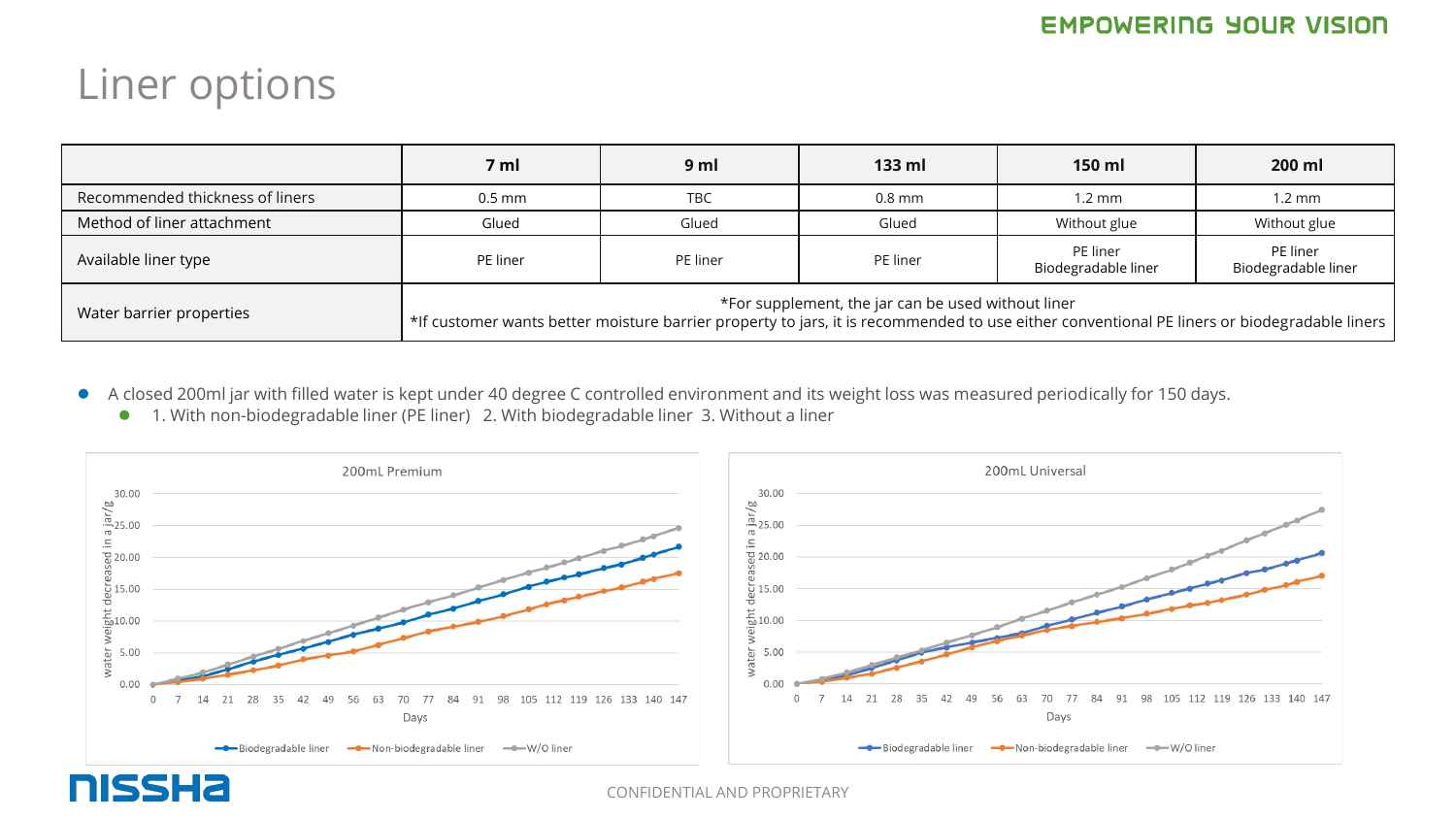## Liner options

|                                 | 7 ml                                                                                                                                                                                              | 9 <sub>m</sub> | $133$ ml | 150 ml                          | 200 ml                          |  |  |
|---------------------------------|---------------------------------------------------------------------------------------------------------------------------------------------------------------------------------------------------|----------------|----------|---------------------------------|---------------------------------|--|--|
| Recommended thickness of liners | $0.5$ mm                                                                                                                                                                                          | <b>TBC</b>     | $0.8$ mm | $1.2 \text{ mm}$                | $1.2 \text{ mm}$                |  |  |
| Method of liner attachment      | Glued                                                                                                                                                                                             | Glued          | Glued    | Without glue                    | Without glue                    |  |  |
| Available liner type            | PE liner                                                                                                                                                                                          | PE liner       | PE liner | PE liner<br>Biodegradable liner | PE liner<br>Biodegradable liner |  |  |
| Water barrier properties        | *For supplement, the jar can be used without liner<br>*If customer wants better moisture barrier property to jars, it is recommended to use either conventional PE liners or biodegradable liners |                |          |                                 |                                 |  |  |

- ⚫ A closed 200ml jar with filled water is kept under 40 degree C controlled environment and its weight loss was measured periodically for 150 days.
	- 1. With non-biodegradable liner (PE liner) 2. With biodegradable liner 3. Without a liner



**NISSHA**